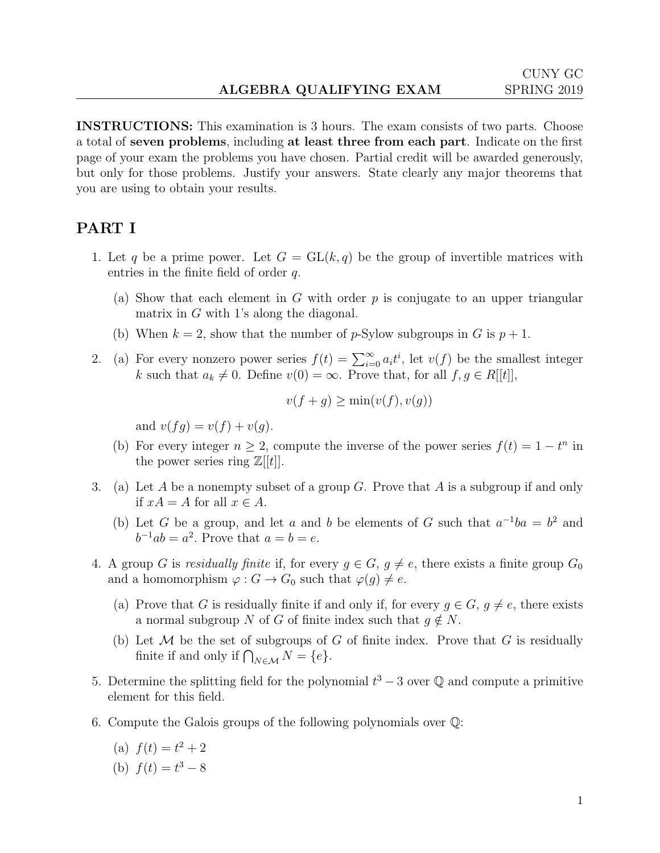INSTRUCTIONS: This examination is 3 hours. The exam consists of two parts. Choose a total of seven problems, including at least three from each part. Indicate on the first page of your exam the problems you have chosen. Partial credit will be awarded generously, but only for those problems. Justify your answers. State clearly any major theorems that you are using to obtain your results.

## PART I

- 1. Let q be a prime power. Let  $G = GL(k, q)$  be the group of invertible matrices with entries in the finite field of order q.
	- (a) Show that each element in  $G$  with order  $p$  is conjugate to an upper triangular matrix in G with 1's along the diagonal.
	- (b) When  $k = 2$ , show that the number of p-Sylow subgroups in G is  $p + 1$ .
- 2. (a) For every nonzero power series  $f(t) = \sum_{i=0}^{\infty} a_i t^i$ , let  $v(f)$  be the smallest integer k such that  $a_k \neq 0$ . Define  $v(0) = \infty$ . Prove that, for all  $f, g \in R[[t]],$

$$
v(f+g) \ge \min(v(f), v(g))
$$

and  $v(fq) = v(f) + v(q)$ .

- (b) For every integer  $n \geq 2$ , compute the inverse of the power series  $f(t) = 1 t^n$  in the power series ring  $\mathbb{Z}[[t]]$ .
- 3. (a) Let A be a nonempty subset of a group G. Prove that A is a subgroup if and only if  $xA = A$  for all  $x \in A$ .
	- (b) Let G be a group, and let a and b be elements of G such that  $a^{-1}ba = b^2$  and  $b^{-1}ab = a^2$ . Prove that  $a = b = e$ .
- 4. A group G is residually finite if, for every  $g \in G$ ,  $g \neq e$ , there exists a finite group  $G_0$ and a homomorphism  $\varphi : G \to G_0$  such that  $\varphi(g) \neq e$ .
	- (a) Prove that G is residually finite if and only if, for every  $g \in G$ ,  $g \neq e$ , there exists a normal subgroup N of G of finite index such that  $g \notin N$ .
	- (b) Let  $\mathcal M$  be the set of subgroups of G of finite index. Prove that G is residually finite if and only if  $\bigcap_{N \in \mathcal{M}} N = \{e\}.$
- 5. Determine the splitting field for the polynomial  $t^3 3$  over  $\mathbb Q$  and compute a primitive element for this field.
- 6. Compute the Galois groups of the following polynomials over Q:
	- (a)  $f(t) = t^2 + 2$
	- (b)  $f(t) = t^3 8$